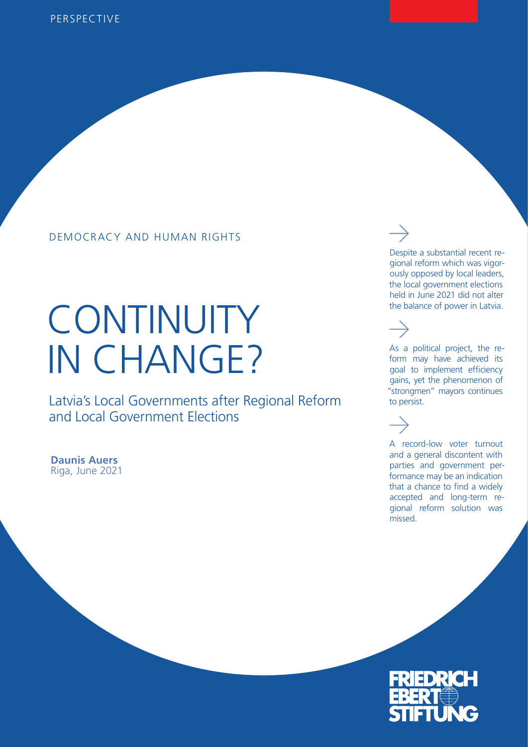### DEMOCRACY AND HUMAN RIGHTS

# **CONTINUITY** IN CHANGE?

Latvia's Local Governments after Regional Reform and Local Government Elections

**Daunis Auers** Riga, June 2021 Despite a substantial recent regional reform which was vigorously opposed by local leaders, the local government elections held in June 2021 did not alter the balance of power in Latvia.

As a political project, the reform may have achieved its goal to implement efficiency gains, yet the phenomenon of "strongmen" mayors continues to persist.

A record-low voter turnout and a general discontent with parties and government performance may be an indication that a chance to find a widely accepted and long-term regional reform solution was missed.

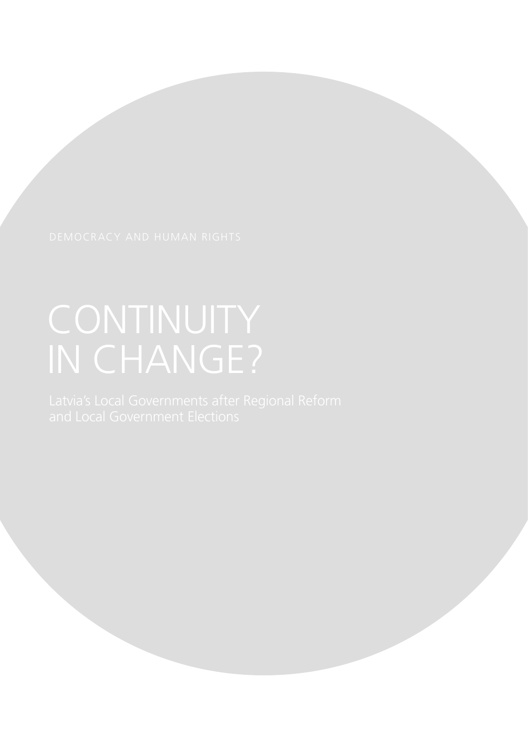# CONTINUITY IN CHANGE?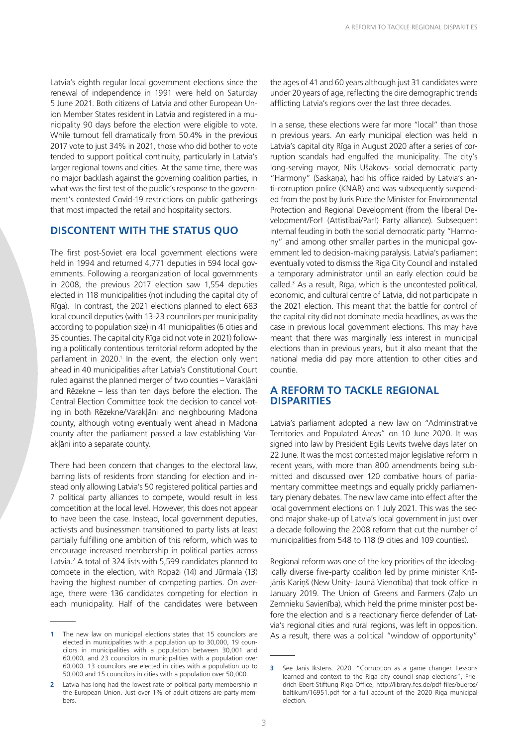Latvia's eighth regular local government elections since the renewal of independence in 1991 were held on Saturday 5 June 2021. Both citizens of Latvia and other European Union Member States resident in Latvia and registered in a municipality 90 days before the election were eligible to vote. While turnout fell dramatically from 50.4% in the previous 2017 vote to just 34% in 2021, those who did bother to vote tended to support political continuity, particularly in Latvia's larger regional towns and cities. At the same time, there was no major backlash against the governing coalition parties, in what was the first test of the public's response to the government's contested Covid-19 restrictions on public gatherings that most impacted the retail and hospitality sectors.

#### **DISCONTENT WITH THE STATUS QUO**

The first post-Soviet era local government elections were held in 1994 and returned 4,771 deputies in 594 local governments. Following a reorganization of local governments in 2008, the previous 2017 election saw 1,554 deputies elected in 118 municipalities (not including the capital city of Rīga). In contrast, the 2021 elections planned to elect 683 local council deputies (with 13-23 councilors per municipality according to population size) in 41 municipalities (6 cities and 35 counties. The capital city Rīga did not vote in 2021) following a politically contentious territorial reform adopted by the parliament in 2020.<sup>1</sup> In the event, the election only went ahead in 40 municipalities after Latvia's Constitutional Court ruled against the planned merger of two counties – Varakļāni and Rēzekne – less than ten days before the election. The Central Election Committee took the decision to cancel voting in both Rēzekne/Varakļāni and neighbouring Madona county, although voting eventually went ahead in Madona county after the parliament passed a law establishing Varakļāni into a separate county.

There had been concern that changes to the electoral law, barring lists of residents from standing for election and instead only allowing Latvia's 50 registered political parties and 7 political party alliances to compete, would result in less competition at the local level. However, this does not appear to have been the case. Instead, local government deputies, activists and businessmen transitioned to party lists at least partially fulfilling one ambition of this reform, which was to encourage increased membership in political parties across Latvia.<sup>2</sup> A total of 324 lists with 5,599 candidates planned to compete in the election, with Ropaži (14) and Jūrmala (13) having the highest number of competing parties. On average, there were 136 candidates competing for election in each municipality. Half of the candidates were between

the ages of 41 and 60 years although just 31 candidates were under 20 years of age, reflecting the dire demographic trends afflicting Latvia's regions over the last three decades.

In a sense, these elections were far more "local" than those in previous years. An early municipal election was held in Latvia's capital city Rīga in August 2020 after a series of corruption scandals had engulfed the municipality. The city's long-serving mayor, Nils Ušakovs- social democratic party "Harmony" (Saskaņa), had his office raided by Latvia's anti-corruption police (KNAB) and was subsequently suspended from the post by Juris Pūce the Minister for Environmental Protection and Regional Development (from the liberal Development/For! (Attīstībai/Par!) Party alliance). Subsequent internal feuding in both the social democratic party "Harmony" and among other smaller parties in the municipal government led to decision-making paralysis. Latvia's parliament eventually voted to dismiss the Riga City Council and installed a temporary administrator until an early election could be called.3 As a result, Rīga, which is the uncontested political, economic, and cultural centre of Latvia, did not participate in the 2021 election. This meant that the battle for control of the capital city did not dominate media headlines, as was the case in previous local government elections. This may have meant that there was marginally less interest in municipal elections than in previous years, but it also meant that the national media did pay more attention to other cities and countie.

#### **A REFORM TO TACKLE REGIONAL DISPARITIES**

Latvia's parliament adopted a new law on "Administrative Territories and Populated Areas" on 10 June 2020. It was signed into law by President Egils Levits twelve days later on 22 June. It was the most contested major legislative reform in recent years, with more than 800 amendments being submitted and discussed over 120 combative hours of parliamentary committee meetings and equally prickly parliamentary plenary debates. The new law came into effect after the local government elections on 1 July 2021. This was the second major shake-up of Latvia's local government in just over a decade following the 2008 reform that cut the number of municipalities from 548 to 118 (9 cities and 109 counties).

Regional reform was one of the key priorities of the ideologically diverse five-party coalition led by prime minister Krišjānis Kariņš (New Unity- Jaunā Vienotība) that took office in January 2019. The Union of Greens and Farmers (Zaļo un Zemnieku Savienība), which held the prime minister post before the election and is a reactionary fierce defender of Latvia's regional cities and rural regions, was left in opposition. As a result, there was a political "window of opportunity"

**<sup>1</sup>** The new law on municipal elections states that 15 councilors are elected in municipalities with a population up to 30,000, 19 councilors in municipalities with a population between 30,001 and 60,000, and 23 councilors in municipalities with a population over 60,000. 13 councilors are elected in cities with a population up to 50,000 and 15 councilors in cities with a population over 50,000.

**<sup>2</sup>** Latvia has long had the lowest rate of political party membership in the European Union. Just over 1% of adult citizens are party members.

**<sup>3</sup>** See Jānis Ikstens. 2020. "Corruption as a game changer. Lessons learned and context to the Riga city council snap elections", Friedrich-Ebert-Stiftung Riga Office, http://library.fes.de/pdf-files/bueros/ baltikum/16951.pdf for a full account of the 2020 Riga municipal election.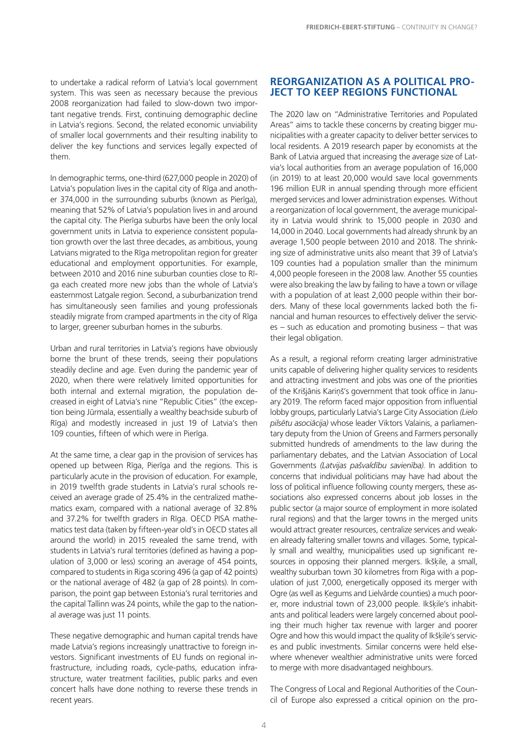to undertake a radical reform of Latvia's local government system. This was seen as necessary because the previous 2008 reorganization had failed to slow-down two important negative trends. First, continuing demographic decline in Latvia's regions. Second, the related economic unviability of smaller local governments and their resulting inability to deliver the key functions and services legally expected of them.

In demographic terms, one-third (627,000 people in 2020) of Latvia's population lives in the capital city of Rīga and another 374,000 in the surrounding suburbs (known as Pierīga), meaning that 52% of Latvia's population lives in and around the capital city. The Pierīga suburbs have been the only local government units in Latvia to experience consistent population growth over the last three decades, as ambitious, young Latvians migrated to the Rīga metropolitan region for greater educational and employment opportunities. For example, between 2010 and 2016 nine suburban counties close to Rīga each created more new jobs than the whole of Latvia's easternmost Latgale region. Second, a suburbanization trend has simultaneously seen families and young professionals steadily migrate from cramped apartments in the city of Rīga to larger, greener suburban homes in the suburbs.

Urban and rural territories in Latvia's regions have obviously borne the brunt of these trends, seeing their populations steadily decline and age. Even during the pandemic year of 2020, when there were relatively limited opportunities for both internal and external migration, the population decreased in eight of Latvia's nine "Republic Cities" (the exception being Jūrmala, essentially a wealthy beachside suburb of Rīga) and modestly increased in just 19 of Latvia's then 109 counties, fifteen of which were in Pierīga.

At the same time, a clear gap in the provision of services has opened up between Rīga, Pierīga and the regions. This is particularly acute in the provision of education. For example, in 2019 twelfth grade students in Latvia's rural schools received an average grade of 25.4% in the centralized mathematics exam, compared with a national average of 32.8% and 37.2% for twelfth graders in Rīga. OECD PISA mathematics test data (taken by fifteen-year old's in OECD states all around the world) in 2015 revealed the same trend, with students in Latvia's rural territories (defined as having a population of 3,000 or less) scoring an average of 454 points, compared to students in Riga scoring 496 (a gap of 42 points) or the national average of 482 (a gap of 28 points). In comparison, the point gap between Estonia's rural territories and the capital Tallinn was 24 points, while the gap to the national average was just 11 points.

These negative demographic and human capital trends have made Latvia's regions increasingly unattractive to foreign investors. Significant investments of EU funds on regional infrastructure, including roads, cycle-paths, education infrastructure, water treatment facilities, public parks and even concert halls have done nothing to reverse these trends in recent years.

#### **REORGANIZATION AS A POLITICAL PRO-JECT TO KEEP REGIONS FUNCTIONAL**

The 2020 law on "Administrative Territories and Populated Areas" aims to tackle these concerns by creating bigger municipalities with a greater capacity to deliver better services to local residents. A 2019 research paper by economists at the Bank of Latvia argued that increasing the average size of Latvia's local authorities from an average population of 16,000 (in 2019) to at least 20,000 would save local governments 196 million EUR in annual spending through more efficient merged services and lower administration expenses. Without a reorganization of local government, the average municipality in Latvia would shrink to 15,000 people in 2030 and 14,000 in 2040. Local governments had already shrunk by an average 1,500 people between 2010 and 2018. The shrinking size of administrative units also meant that 39 of Latvia's 109 counties had a population smaller than the minimum 4,000 people foreseen in the 2008 law. Another 55 counties were also breaking the law by failing to have a town or village with a population of at least 2,000 people within their borders. Many of these local governments lacked both the financial and human resources to effectively deliver the services – such as education and promoting business – that was their legal obligation.

As a result, a regional reform creating larger administrative units capable of delivering higher quality services to residents and attracting investment and jobs was one of the priorities of the Krišjānis Kariņš's government that took office in January 2019. The reform faced major opposition from influential lobby groups, particularly Latvia's Large City Association *(Lielo pilsētu asociācija)* whose leader Viktors Valainis, a parliamentary deputy from the Union of Greens and Farmers personally submitted hundreds of amendments to the law during the parliamentary debates, and the Latvian Association of Local Governments *(Latvijas pašvaldību savienība)*. In addition to concerns that individual politicians may have had about the loss of political influence following county mergers, these associations also expressed concerns about job losses in the public sector (a major source of employment in more isolated rural regions) and that the larger towns in the merged units would attract greater resources, centralize services and weaken already faltering smaller towns and villages. Some, typically small and wealthy, municipalities used up significant resources in opposing their planned mergers. Ikšķile, a small, wealthy suburban town 30 kilometres from Riga with a population of just 7,000, energetically opposed its merger with Ogre (as well as Ķegums and Lielvārde counties) a much poorer, more industrial town of 23,000 people. Ikšķile's inhabitants and political leaders were largely concerned about pooling their much higher tax revenue with larger and poorer Ogre and how this would impact the quality of Ikšķile's services and public investments. Similar concerns were held elsewhere whenever wealthier administrative units were forced to merge with more disadvantaged neighbours.

The Congress of Local and Regional Authorities of the Council of Europe also expressed a critical opinion on the pro-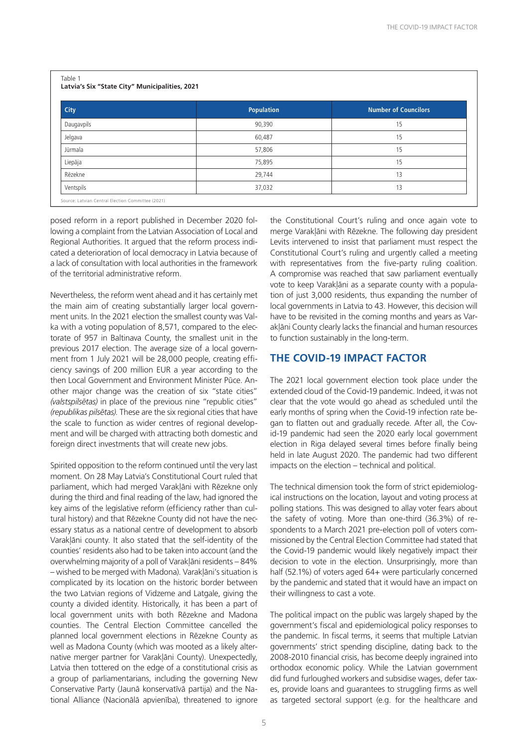| Table 1<br>Latvia's Six "State City" Municipalities, 2021 |                   |  |
|-----------------------------------------------------------|-------------------|--|
| City                                                      | <b>Population</b> |  |
| Daugavpils                                                | 90,390            |  |

| City                                              | <b>Population</b> | <b>Number of Councilors</b> |
|---------------------------------------------------|-------------------|-----------------------------|
| Daugavpils                                        | 90,390            | 15                          |
| Jelgava                                           | 60,487            | 15                          |
| Jūrmala                                           | 57,806            | 15                          |
| Liepāja                                           | 75,895            | 15                          |
| Rēzekne                                           | 29,744            | 13                          |
| Ventspils                                         | 37,032            | 13                          |
| Source: Latvian Central Election Committee (2021) |                   |                             |

posed reform in a report published in December 2020 following a complaint from the Latvian Association of Local and Regional Authorities. It argued that the reform process indicated a deterioration of local democracy in Latvia because of a lack of consultation with local authorities in the framework of the territorial administrative reform.

Nevertheless, the reform went ahead and it has certainly met the main aim of creating substantially larger local government units. In the 2021 election the smallest county was Valka with a voting population of 8,571, compared to the electorate of 957 in Baltinava County, the smallest unit in the previous 2017 election. The average size of a local government from 1 July 2021 will be 28,000 people, creating efficiency savings of 200 million EUR a year according to the then Local Government and Environment Minister Pūce. Another major change was the creation of six "state cities" *(valstspilsētas)* in place of the previous nine "republic cities" *(republikas pilsētas)*. These are the six regional cities that have the scale to function as wider centres of regional development and will be charged with attracting both domestic and foreign direct investments that will create new jobs.

Spirited opposition to the reform continued until the very last moment. On 28 May Latvia's Constitutional Court ruled that parliament, which had merged Varakļāni with Rēzekne only during the third and final reading of the law, had ignored the key aims of the legislative reform (efficiency rather than cultural history) and that Rēzekne County did not have the necessary status as a national centre of development to absorb Varakļāni county. It also stated that the self-identity of the counties' residents also had to be taken into account (and the overwhelming majority of a poll of Varakļāni residents – 84% – wished to be merged with Madona). Varakļāni's situation is complicated by its location on the historic border between the two Latvian regions of Vidzeme and Latgale, giving the county a divided identity. Historically, it has been a part of local government units with both Rēzekne and Madona counties. The Central Election Committee cancelled the planned local government elections in Rēzekne County as well as Madona County (which was mooted as a likely alternative merger partner for Varakļāni County). Unexpectedly, Latvia then tottered on the edge of a constitutional crisis as a group of parliamentarians, including the governing New Conservative Party (Jaunā konservatīvā partija) and the National Alliance (Nacionālā apvienība), threatened to ignore

the Constitutional Court's ruling and once again vote to merge Varakļāni with Rēzekne. The following day president Levits intervened to insist that parliament must respect the Constitutional Court's ruling and urgently called a meeting with representatives from the five-party ruling coalition. A compromise was reached that saw parliament eventually vote to keep Varakļāni as a separate county with a population of just 3,000 residents, thus expanding the number of local governments in Latvia to 43. However, this decision will have to be revisited in the coming months and years as Varaklāni County clearly lacks the financial and human resources to function sustainably in the long-term.

#### **THE COVID-19 IMPACT FACTOR**

The 2021 local government election took place under the extended cloud of the Covid-19 pandemic. Indeed, it was not clear that the vote would go ahead as scheduled until the early months of spring when the Covid-19 infection rate began to flatten out and gradually recede. After all, the Covid-19 pandemic had seen the 2020 early local government election in Riga delayed several times before finally being held in late August 2020. The pandemic had two different impacts on the election – technical and political.

The technical dimension took the form of strict epidemiological instructions on the location, layout and voting process at polling stations. This was designed to allay voter fears about the safety of voting. More than one-third (36.3%) of respondents to a March 2021 pre-election poll of voters commissioned by the Central Election Committee had stated that the Covid-19 pandemic would likely negatively impact their decision to vote in the election. Unsurprisingly, more than half (52.1%) of voters aged 64+ were particularly concerned by the pandemic and stated that it would have an impact on their willingness to cast a vote.

The political impact on the public was largely shaped by the government's fiscal and epidemiological policy responses to the pandemic. In fiscal terms, it seems that multiple Latvian governments' strict spending discipline, dating back to the 2008-2010 financial crisis, has become deeply ingrained into orthodox economic policy. While the Latvian government did fund furloughed workers and subsidise wages, defer taxes, provide loans and guarantees to struggling firms as well as targeted sectoral support (e.g. for the healthcare and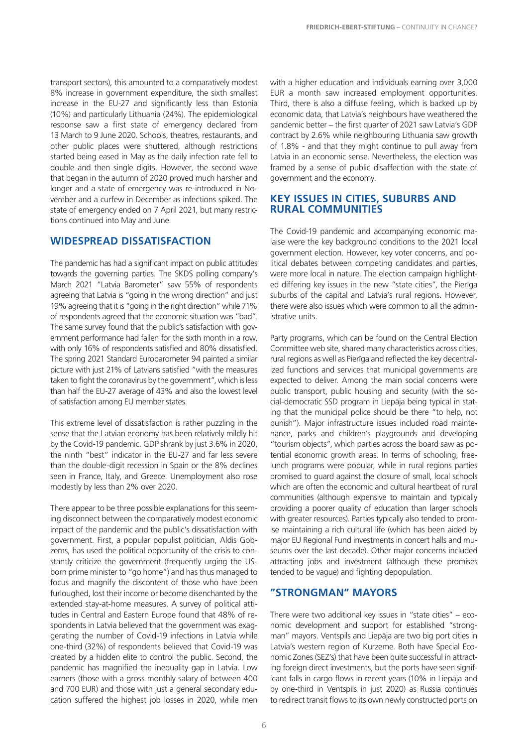transport sectors), this amounted to a comparatively modest 8% increase in government expenditure, the sixth smallest increase in the EU-27 and significantly less than Estonia (10%) and particularly Lithuania (24%). The epidemiological response saw a first state of emergency declared from 13 March to 9 June 2020. Schools, theatres, restaurants, and other public places were shuttered, although restrictions started being eased in May as the daily infection rate fell to double and then single digits. However, the second wave that began in the autumn of 2020 proved much harsher and longer and a state of emergency was re-introduced in November and a curfew in December as infections spiked. The state of emergency ended on 7 April 2021, but many restrictions continued into May and June.

#### **WIDESPREAD DISSATISFACTION**

The pandemic has had a significant impact on public attitudes towards the governing parties. The SKDS polling company's March 2021 "Latvia Barometer" saw 55% of respondents agreeing that Latvia is "going in the wrong direction" and just 19% agreeing that it is "going in the right direction" while 71% of respondents agreed that the economic situation was "bad". The same survey found that the public's satisfaction with government performance had fallen for the sixth month in a row, with only 16% of respondents satisfied and 80% dissatisfied. The spring 2021 Standard Eurobarometer 94 painted a similar picture with just 21% of Latvians satisfied "with the measures taken to fight the coronavirus by the government", which is less than half the EU-27 average of 43% and also the lowest level of satisfaction among EU member states.

This extreme level of dissatisfaction is rather puzzling in the sense that the Latvian economy has been relatively mildly hit by the Covid-19 pandemic. GDP shrank by just 3.6% in 2020, the ninth "best" indicator in the EU-27 and far less severe than the double-digit recession in Spain or the 8% declines seen in France, Italy, and Greece. Unemployment also rose modestly by less than 2% over 2020.

There appear to be three possible explanations for this seeming disconnect between the comparatively modest economic impact of the pandemic and the public's dissatisfaction with government. First, a popular populist politician, Aldis Gobzems, has used the political opportunity of the crisis to constantly criticize the government (frequently urging the USborn prime minister to "go home") and has thus managed to focus and magnify the discontent of those who have been furloughed, lost their income or become disenchanted by the extended stay-at-home measures. A survey of political attitudes in Central and Eastern Europe found that 48% of respondents in Latvia believed that the government was exaggerating the number of Covid-19 infections in Latvia while one-third (32%) of respondents believed that Covid-19 was created by a hidden elite to control the public. Second, the pandemic has magnified the inequality gap in Latvia. Low earners (those with a gross monthly salary of between 400 and 700 EUR) and those with just a general secondary education suffered the highest job losses in 2020, while men

with a higher education and individuals earning over 3,000 EUR a month saw increased employment opportunities. Third, there is also a diffuse feeling, which is backed up by economic data, that Latvia's neighbours have weathered the pandemic better – the first quarter of 2021 saw Latvia's GDP contract by 2.6% while neighbouring Lithuania saw growth of 1.8% - and that they might continue to pull away from Latvia in an economic sense. Nevertheless, the election was framed by a sense of public disaffection with the state of government and the economy.

#### **KEY ISSUES IN CITIES, SUBURBS AND RURAL COMMUNITIES**

The Covid-19 pandemic and accompanying economic malaise were the key background conditions to the 2021 local government election. However, key voter concerns, and political debates between competing candidates and parties, were more local in nature. The election campaign highlighted differing key issues in the new "state cities", the Pierīga suburbs of the capital and Latvia's rural regions. However, there were also issues which were common to all the administrative units.

Party programs, which can be found on the Central Election Committee web site, shared many characteristics across cities, rural regions as well as Pierīga and reflected the key decentralized functions and services that municipal governments are expected to deliver. Among the main social concerns were public transport, public housing and security (with the social-democratic SSD program in Liepāja being typical in stating that the municipal police should be there "to help, not punish"). Major infrastructure issues included road maintenance, parks and children's playgrounds and developing "tourism objects", which parties across the board saw as potential economic growth areas. In terms of schooling, freelunch programs were popular, while in rural regions parties promised to guard against the closure of small, local schools which are often the economic and cultural heartbeat of rural communities (although expensive to maintain and typically providing a poorer quality of education than larger schools with greater resources). Parties typically also tended to promise maintaining a rich cultural life (which has been aided by major EU Regional Fund investments in concert halls and museums over the last decade). Other major concerns included attracting jobs and investment (although these promises tended to be vague) and fighting depopulation.

#### **"STRONGMAN" MAYORS**

There were two additional key issues in "state cities" – economic development and support for established "strongman" mayors. Ventspils and Liepāja are two big port cities in Latvia's western region of Kurzeme. Both have Special Economic Zones (SEZ's) that have been quite successful in attracting foreign direct investments, but the ports have seen significant falls in cargo flows in recent years (10% in Liepāja and by one-third in Ventspils in just 2020) as Russia continues to redirect transit flows to its own newly constructed ports on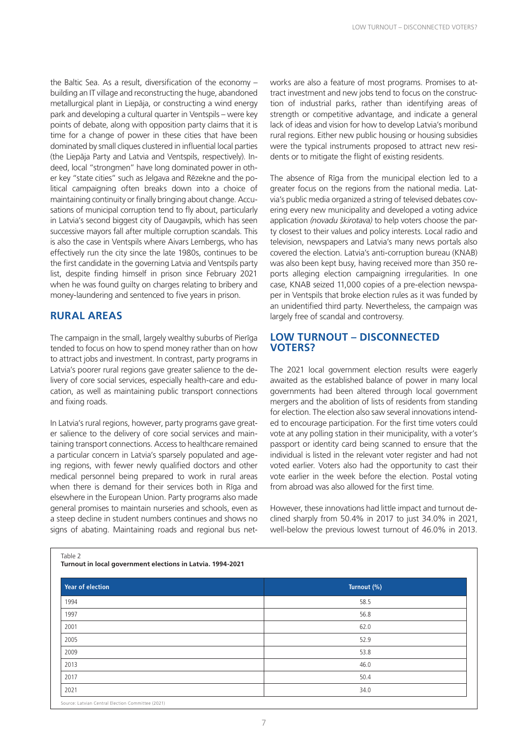the Baltic Sea. As a result, diversification of the economy  $$ building an IT village and reconstructing the huge, abandoned metallurgical plant in Liepāja, or constructing a wind energy park and developing a cultural quarter in Ventspils – were key points of debate, along with opposition party claims that it is time for a change of power in these cities that have been dominated by small cliques clustered in influential local parties (the Liepāja Party and Latvia and Ventspils, respectively). Indeed, local "strongmen" have long dominated power in other key "state cities" such as Jelgava and Rēzekne and the political campaigning often breaks down into a choice of maintaining continuity or finally bringing about change. Accusations of municipal corruption tend to fly about, particularly in Latvia's second biggest city of Daugavpils, which has seen successive mayors fall after multiple corruption scandals. This is also the case in Ventspils where Aivars Lembergs, who has effectively run the city since the late 1980s, continues to be the first candidate in the governing Latvia and Ventspils party list, despite finding himself in prison since February 2021 when he was found guilty on charges relating to bribery and money-laundering and sentenced to five years in prison.

#### **RURAL AREAS**

The campaign in the small, largely wealthy suburbs of Pierīga tended to focus on how to spend money rather than on how to attract jobs and investment. In contrast, party programs in Latvia's poorer rural regions gave greater salience to the delivery of core social services, especially health-care and education, as well as maintaining public transport connections and fixing roads.

In Latvia's rural regions, however, party programs gave greater salience to the delivery of core social services and maintaining transport connections. Access to healthcare remained a particular concern in Latvia's sparsely populated and ageing regions, with fewer newly qualified doctors and other medical personnel being prepared to work in rural areas when there is demand for their services both in Rīga and elsewhere in the European Union. Party programs also made general promises to maintain nurseries and schools, even as a steep decline in student numbers continues and shows no signs of abating. Maintaining roads and regional bus networks are also a feature of most programs. Promises to attract investment and new jobs tend to focus on the construction of industrial parks, rather than identifying areas of strength or competitive advantage, and indicate a general lack of ideas and vision for how to develop Latvia's moribund rural regions. Either new public housing or housing subsidies were the typical instruments proposed to attract new residents or to mitigate the flight of existing residents.

The absence of Rīga from the municipal election led to a greater focus on the regions from the national media. Latvia's public media organized a string of televised debates covering every new municipality and developed a voting advice application *(novadu škirotava)* to help voters choose the party closest to their values and policy interests. Local radio and television, newspapers and Latvia's many news portals also covered the election. Latvia's anti-corruption bureau (KNAB) was also been kept busy, having received more than 350 reports alleging election campaigning irregularities. In one case, KNAB seized 11,000 copies of a pre-election newspaper in Ventspils that broke election rules as it was funded by an unidentified third party. Nevertheless, the campaign was largely free of scandal and controversy.

#### **LOW TURNOUT – DISCONNECTED VOTERS?**

The 2021 local government election results were eagerly awaited as the established balance of power in many local governments had been altered through local government mergers and the abolition of lists of residents from standing for election. The election also saw several innovations intended to encourage participation. For the first time voters could vote at any polling station in their municipality, with a voter's passport or identity card being scanned to ensure that the individual is listed in the relevant voter register and had not voted earlier. Voters also had the opportunity to cast their vote earlier in the week before the election. Postal voting from abroad was also allowed for the first time.

However, these innovations had little impact and turnout declined sharply from 50.4% in 2017 to just 34.0% in 2021, well-below the previous lowest turnout of 46.0% in 2013.

| . .<br>× | o esta<br>۰, | ×<br>۰. |  |
|----------|--------------|---------|--|

**Turnout in local government elections in Latvia. 1994-2021**

| <b>Year of election</b> | Turnout (%) |
|-------------------------|-------------|
| 1994                    | 58.5        |
| 1997                    | 56.8        |
| 2001                    | 62.0        |
| 2005                    | 52.9        |
| 2009                    | 53.8        |
| 2013                    | 46.0        |
| 2017                    | 50.4        |
| 2021                    | 34.0        |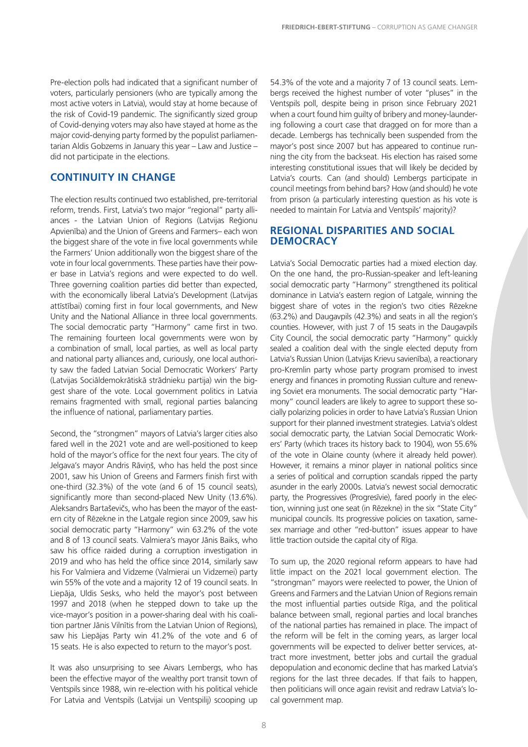Pre-election polls had indicated that a significant number of voters, particularly pensioners (who are typically among the most active voters in Latvia), would stay at home because of the risk of Covid-19 pandemic. The significantly sized group of Covid-denying voters may also have stayed at home as the major covid-denying party formed by the populist parliamentarian Aldis Gobzems in January this year – Law and Justice – did not participate in the elections.

#### **CONTINUITY IN CHANGE**

The election results continued two established, pre-territorial reform, trends. First, Latvia's two major "regional" party alliances - the Latvian Union of Regions (Latvijas Reģionu Apvienība) and the Union of Greens and Farmers– each won the biggest share of the vote in five local governments while the Farmers' Union additionally won the biggest share of the vote in four local governments. These parties have their power base in Latvia's regions and were expected to do well. Three governing coalition parties did better than expected, with the economically liberal Latvia's Development (Latvijas attīstībai) coming first in four local governments, and New Unity and the National Alliance in three local governments. The social democratic party "Harmony" came first in two. The remaining fourteen local governments were won by a combination of small, local parties, as well as local party and national party alliances and, curiously, one local authority saw the faded Latvian Social Democratic Workers' Party (Latvijas Sociāldemokrātiskā strādnieku partija) win the biggest share of the vote. Local government politics in Latvia remains fragmented with small, regional parties balancing the influence of national, parliamentary parties.

Second, the "strongmen" mayors of Latvia's larger cities also fared well in the 2021 vote and are well-positioned to keep hold of the mayor's office for the next four years. The city of Jelgava's mayor Andris Rāviņš, who has held the post since 2001, saw his Union of Greens and Farmers finish first with one-third (32.3%) of the vote (and 6 of 15 council seats), significantly more than second-placed New Unity (13.6%). Aleksandrs Bartaševičs, who has been the mayor of the eastern city of Rēzekne in the Latgale region since 2009, saw his social democratic party "Harmony" win 63.2% of the vote and 8 of 13 council seats. Valmiera's mayor Jānis Baiks, who saw his office raided during a corruption investigation in 2019 and who has held the office since 2014, similarly saw his For Valmiera and Vidzeme (Valmierai un Vidzemei) party win 55% of the vote and a majority 12 of 19 council seats. In Liepāja, Uldis Sesks, who held the mayor's post between 1997 and 2018 (when he stepped down to take up the vice-mayor's position in a power-sharing deal with his coalition partner Jānis Vilnītis from the Latvian Union of Regions), saw his Liepājas Party win 41.2% of the vote and 6 of 15 seats. He is also expected to return to the mayor's post.

It was also unsurprising to see Aivars Lembergs, who has been the effective mayor of the wealthy port transit town of Ventspils since 1988, win re-election with his political vehicle For Latvia and Ventspils (Latvijai un Ventspilij) scooping up

54.3% of the vote and a majority 7 of 13 council seats. Lembergs received the highest number of voter "pluses" in the Ventspils poll, despite being in prison since February 2021 when a court found him guilty of bribery and money-laundering following a court case that dragged on for more than a decade. Lembergs has technically been suspended from the mayor's post since 2007 but has appeared to continue running the city from the backseat. His election has raised some interesting constitutional issues that will likely be decided by Latvia's courts. Can (and should) Lembergs participate in council meetings from behind bars? How (and should) he vote from prison (a particularly interesting question as his vote is needed to maintain For Latvia and Ventspils' majority)?

#### **REGIONAL DISPARITIES AND SOCIAL DEMOCRACY**

Latvia's Social Democratic parties had a mixed election day. On the one hand, the pro-Russian-speaker and left-leaning social democratic party "Harmony" strengthened its political dominance in Latvia's eastern region of Latgale, winning the biggest share of votes in the region's two cities Rēzekne (63.2%) and Daugavpils (42.3%) and seats in all the region's counties. However, with just 7 of 15 seats in the Daugavpils City Council, the social democratic party "Harmony" quickly sealed a coalition deal with the single elected deputy from Latvia's Russian Union (Latvijas Krievu savienība), a reactionary pro-Kremlin party whose party program promised to invest energy and finances in promoting Russian culture and renewing Soviet era monuments. The social democratic party "Harmony" council leaders are likely to agree to support these socially polarizing policies in order to have Latvia's Russian Union support for their planned investment strategies. Latvia's oldest social democratic party, the Latvian Social Democratic Workers' Party (which traces its history back to 1904), won 55.6% of the vote in Olaine county (where it already held power). However, it remains a minor player in national politics since a series of political and corruption scandals ripped the party asunder in the early 2000s. Latvia's newest social democratic party, the Progressives (Progresīvie), fared poorly in the election, winning just one seat (in Rēzekne) in the six "State City" municipal councils. Its progressive policies on taxation, samesex marriage and other "red-button" issues appear to have little traction outside the capital city of Rīga.

To sum up, the 2020 regional reform appears to have had little impact on the 2021 local government election. The "strongman" mayors were reelected to power, the Union of Greens and Farmers and the Latvian Union of Regions remain the most influential parties outside Rīga, and the political balance between small, regional parties and local branches of the national parties has remained in place. The impact of the reform will be felt in the coming years, as larger local governments will be expected to deliver better services, attract more investment, better jobs and curtail the gradual depopulation and economic decline that has marked Latvia's regions for the last three decades. If that fails to happen, then politicians will once again revisit and redraw Latvia's local government map.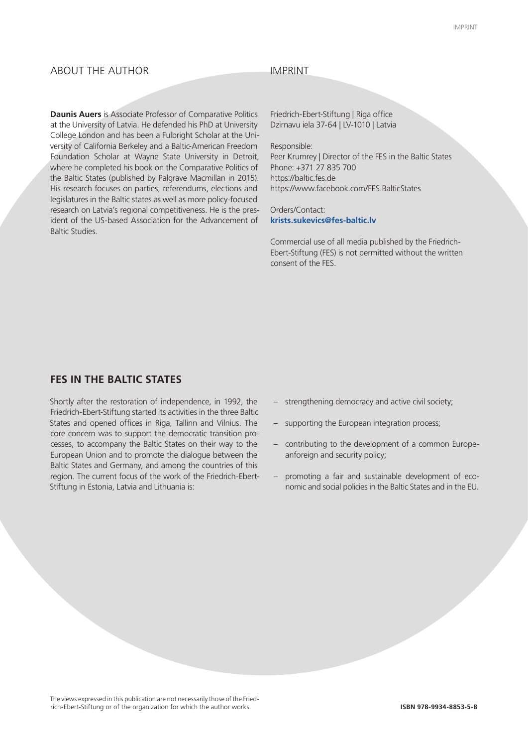#### ABOUT THE AUTHOR

#### IMPRINT

**Daunis Auers** is Associate Professor of Comparative Politics at the University of Latvia. He defended his PhD at University College London and has been a Fulbright Scholar at the University of California Berkeley and a Baltic-American Freedom Foundation Scholar at Wayne State University in Detroit, where he completed his book on the Comparative Politics of the Baltic States (published by Palgrave Macmillan in 2015). His research focuses on parties, referendums, elections and legislatures in the Baltic states as well as more policy-focused research on Latvia's regional competitiveness. He is the president of the US-based Association for the Advancement of Baltic Studies.

Friedrich-Ebert-Stiftung | Riga office Dzirnavu iela 37-64 | LV-1010 | Latvia

Responsible:

Peer Krumrey | Director of the FES in the Baltic States Phone: +371 27 835 700 https://baltic.fes.de https://www.facebook.com/FES.BalticStates

Orders/Contact: **krists.sukevics@fes-baltic.lv**

Commercial use of all media published by the Friedrich-Ebert-Stiftung (FES) is not permitted without the written consent of the FES.

#### **FES IN THE BALTIC STATES**

Shortly after the restoration of independence, in 1992, the Friedrich-Ebert-Stiftung started its activities in the three Baltic States and opened offices in Riga, Tallinn and Vilnius. The core concern was to support the democratic transition processes, to accompany the Baltic States on their way to the European Union and to promote the dialogue between the Baltic States and Germany, and among the countries of this region. The current focus of the work of the Friedrich-Ebert-Stiftung in Estonia, Latvia and Lithuania is:

- strengthening democracy and active civil society;
- supporting the European integration process;
- contributing to the development of a common Europeanforeign and security policy;
- promoting a fair and sustainable development of economic and social policies in the Baltic States and in the EU.